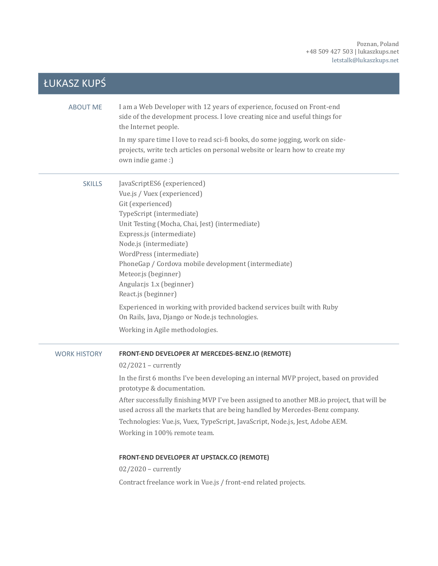| ŁUKASZ KUPŚ         |                                                                                                                                                                                                                                                                                                                                                                                                                                                                                                                    |
|---------------------|--------------------------------------------------------------------------------------------------------------------------------------------------------------------------------------------------------------------------------------------------------------------------------------------------------------------------------------------------------------------------------------------------------------------------------------------------------------------------------------------------------------------|
| <b>ABOUT ME</b>     | I am a Web Developer with 12 years of experience, focused on Front-end<br>side of the development process. I love creating nice and useful things for<br>the Internet people.                                                                                                                                                                                                                                                                                                                                      |
|                     | In my spare time I love to read sci-fi books, do some jogging, work on side-<br>projects, write tech articles on personal website or learn how to create my<br>own indie game:)                                                                                                                                                                                                                                                                                                                                    |
| <b>SKILLS</b>       | JavaScriptES6 (experienced)<br>Vue.js / Vuex (experienced)<br>Git (experienced)<br>TypeScript (intermediate)<br>Unit Testing (Mocha, Chai, Jest) (intermediate)<br>Express.js (intermediate)<br>Node.js (intermediate)<br>WordPress (intermediate)<br>PhoneGap / Cordova mobile development (intermediate)<br>Meteor.js (beginner)<br>Angular.js 1.x (beginner)<br>React.js (beginner)<br>Experienced in working with provided backend services built with Ruby<br>On Rails, Java, Django or Node.js technologies. |
|                     | Working in Agile methodologies.                                                                                                                                                                                                                                                                                                                                                                                                                                                                                    |
| <b>WORK HISTORY</b> | FRONT-END DEVELOPER AT MERCEDES-BENZ.IO (REMOTE)<br>$02/2021$ – currently                                                                                                                                                                                                                                                                                                                                                                                                                                          |
|                     | In the first 6 months I've been developing an internal MVP project, based on provided<br>prototype & documentation.<br>After successfully finishing MVP I've been assigned to another MB.io project, that will be<br>used across all the markets that are being handled by Mercedes-Benz company.<br>Technologies: Vue.js, Vuex, TypeScript, JavaScript, Node.js, Jest, Adobe AEM.<br>Working in 100% remote team.                                                                                                 |
|                     | <b>FRONT-END DEVELOPER AT UPSTACK.CO (REMOTE)</b>                                                                                                                                                                                                                                                                                                                                                                                                                                                                  |
|                     | $02/2020$ – currently<br>Contract freelance work in Vue.js / front-end related projects.                                                                                                                                                                                                                                                                                                                                                                                                                           |
|                     |                                                                                                                                                                                                                                                                                                                                                                                                                                                                                                                    |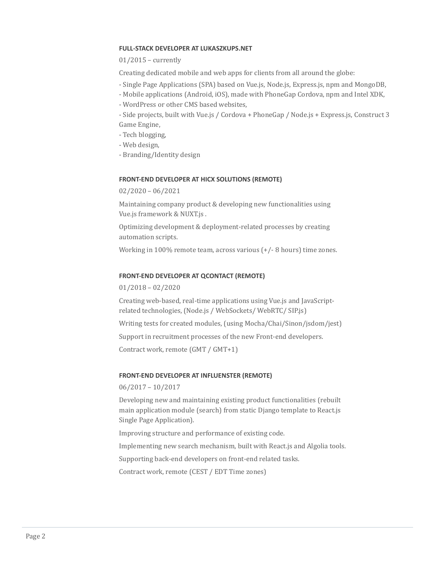# **FULL-STACK DEVELOPER AT LUKASZKUPS.NET**

# 01/2015 – currently

Creating dedicated mobile and web apps for clients from all around the globe:

- Single Page Applications (SPA) based on Vue.js, Node.js, Express.js, npm and MongoDB,
- Mobile applications (Android, iOS), made with PhoneGap Cordova, npm and Intel XDK,
- WordPress or other CMS based websites,

- Side projects, built with Vue.js / Cordova + PhoneGap / Node.js + Express.js, Construct 3 Game Engine,

- Tech blogging,
- Web design,
- Branding/Identity design

# **FRONT-END DEVELOPER AT HICX SOLUTIONS (REMOTE)**

02/2020 – 06/2021

Maintaining company product & developing new functionalities using Vue.js framework & NUXT.js .

Optimizing development & deployment-related processes by creating automation scripts.

Working in 100% remote team, across various (+/- 8 hours) time zones.

### **FRONT-END DEVELOPER AT QCONTACT (REMOTE)**

01/2018 – 02/2020

Creating web-based, real-time applications using Vue.js and JavaScriptrelated technologies, (Node.js / WebSockets/ WebRTC/ SIP.js)

Writing tests for created modules, (using Mocha/Chai/Sinon/jsdom/jest)

Support in recruitment processes of the new Front-end developers.

Contract work, remote (GMT / GMT+1)

### **FRONT-END DEVELOPER AT INFLUENSTER (REMOTE)**

### 06/2017 – 10/2017

Developing new and maintaining existing product functionalities (rebuilt main application module (search) from static Django template to React.js Single Page Application).

Improving structure and performance of existing code.

Implementing new search mechanism, built with React.js and Algolia tools.

Supporting back-end developers on front-end related tasks.

Contract work, remote (CEST / EDT Time zones)